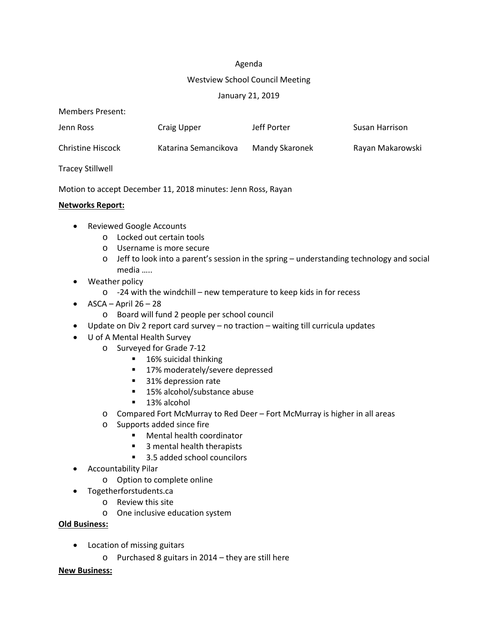### Agenda

### Westview School Council Meeting

## January 21, 2019

| Members Present:         |                      |                |                  |
|--------------------------|----------------------|----------------|------------------|
| Jenn Ross                | <b>Craig Upper</b>   | Jeff Porter    | Susan Harrison   |
| <b>Christine Hiscock</b> | Katarina Semancikova | Mandy Skaronek | Rayan Makarowski |
| <b>Tracey Stillwell</b>  |                      |                |                  |

Motion to accept December 11, 2018 minutes: Jenn Ross, Rayan

### **Networks Report:**

- Reviewed Google Accounts
	- o Locked out certain tools
	- o Username is more secure
	- o Jeff to look into a parent's session in the spring understanding technology and social media …..
- Weather policy
	- o -24 with the windchill new temperature to keep kids in for recess
- $\bullet$  ASCA April 26 28
	- o Board will fund 2 people per school council
- Update on Div 2 report card survey no traction waiting till curricula updates
- U of A Mental Health Survey
	- o Surveyed for Grade 7-12
		- 16% suicidal thinking
		- 17% moderately/severe depressed
		- 31% depression rate
		- 15% alcohol/substance abuse
		- 13% alcohol
	- o Compared Fort McMurray to Red Deer Fort McMurray is higher in all areas
	- o Supports added since fire
		- Mental health coordinator
		- 3 mental health therapists
		- 3.5 added school councilors
- Accountability Pilar
	- o Option to complete online
- Togetherforstudents.ca
	- o Review this site
	- o One inclusive education system

## **Old Business:**

- Location of missing guitars
	- o Purchased 8 guitars in 2014 they are still here

## **New Business:**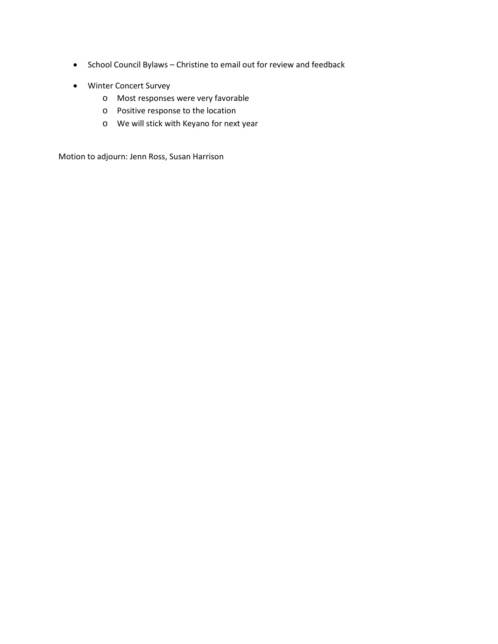- School Council Bylaws Christine to email out for review and feedback
- Winter Concert Survey
	- o Most responses were very favorable
	- o Positive response to the location
	- o We will stick with Keyano for next year

Motion to adjourn: Jenn Ross, Susan Harrison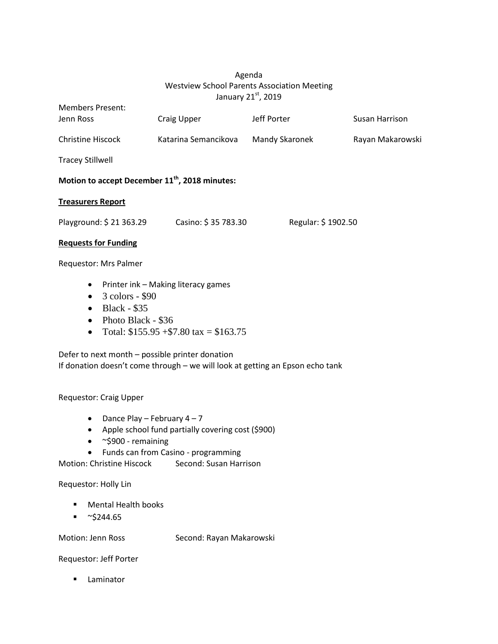# Agenda Westview School Parents Association Meeting January 21st, 2019

| <b>Members Present:</b><br>Jenn Ross                                          | Craig Upper                         | Jeff Porter        | Susan Harrison   |
|-------------------------------------------------------------------------------|-------------------------------------|--------------------|------------------|
| <b>Christine Hiscock</b>                                                      | Katarina Semancikova                | Mandy Skaronek     | Rayan Makarowski |
| <b>Tracey Stillwell</b>                                                       |                                     |                    |                  |
| Motion to accept December 11 <sup>th</sup> , 2018 minutes:                    |                                     |                    |                  |
| <b>Treasurers Report</b>                                                      |                                     |                    |                  |
| Playground: \$ 21 363.29                                                      | Casino: \$35 783.30                 | Regular: \$1902.50 |                  |
| <b>Requests for Funding</b>                                                   |                                     |                    |                  |
| Requestor: Mrs Palmer                                                         |                                     |                    |                  |
| $\bullet$<br>3 colors - \$90<br>$\bullet$<br><b>Black - \$35</b><br>$\bullet$ | Printer ink - Making literacy games |                    |                  |

- Photo Black \$36
- Total:  $$155.95 + $7.80$  tax =  $$163.75$

Defer to next month – possible printer donation If donation doesn't come through – we will look at getting an Epson echo tank

Requestor: Craig Upper

- Dance Play February  $4 7$
- Apple school fund partially covering cost (\$900)
- ~\$900 remaining
- Funds can from Casino programming

Motion: Christine Hiscock Second: Susan Harrison

Requestor: Holly Lin

- **Mental Health books**
- $\bullet$  ~\$244.65

Motion: Jenn Ross Second: Rayan Makarowski

Requestor: Jeff Porter

**Laminator**